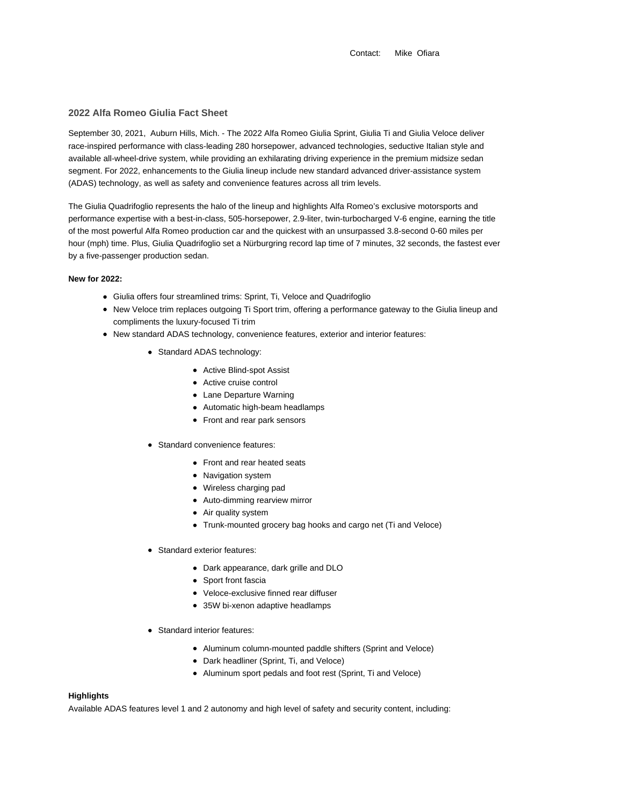Contact: Mike Ofiara

### **2022 Alfa Romeo Giulia Fact Sheet**

September 30, 2021, Auburn Hills, Mich. - The 2022 Alfa Romeo Giulia Sprint, Giulia Ti and Giulia Veloce deliver race-inspired performance with class-leading 280 horsepower, advanced technologies, seductive Italian style and available all-wheel-drive system, while providing an exhilarating driving experience in the premium midsize sedan segment. For 2022, enhancements to the Giulia lineup include new standard advanced driver-assistance system (ADAS) technology, as well as safety and convenience features across all trim levels.

The Giulia Quadrifoglio represents the halo of the lineup and highlights Alfa Romeo's exclusive motorsports and performance expertise with a best-in-class, 505-horsepower, 2.9-liter, twin-turbocharged V-6 engine, earning the title of the most powerful Alfa Romeo production car and the quickest with an unsurpassed 3.8-second 0-60 miles per hour (mph) time. Plus, Giulia Quadrifoglio set a Nürburgring record lap time of 7 minutes, 32 seconds, the fastest ever by a five-passenger production sedan.

#### **New for 2022:**

- Giulia offers four streamlined trims: Sprint, Ti, Veloce and Quadrifoglio
- New Veloce trim replaces outgoing Ti Sport trim, offering a performance gateway to the Giulia lineup and compliments the luxury-focused Ti trim
- New standard ADAS technology, convenience features, exterior and interior features:
	- Standard ADAS technology:
		- Active Blind-spot Assist
		- Active cruise control
		- Lane Departure Warning
		- Automatic high-beam headlamps
		- Front and rear park sensors
	- Standard convenience features:
		- Front and rear heated seats
		- Navigation system
		- Wireless charging pad
		- Auto-dimming rearview mirror
		- Air quality system
		- Trunk-mounted grocery bag hooks and cargo net (Ti and Veloce)
	- Standard exterior features:
		- Dark appearance, dark grille and DLO
		- Sport front fascia
		- Veloce-exclusive finned rear diffuser
		- 35W bi-xenon adaptive headlamps
	- Standard interior features:
		- Aluminum column-mounted paddle shifters (Sprint and Veloce)
		- Dark headliner (Sprint, Ti, and Veloce)
		- Aluminum sport pedals and foot rest (Sprint, Ti and Veloce)

# **Highlights**

Available ADAS features level 1 and 2 autonomy and high level of safety and security content, including: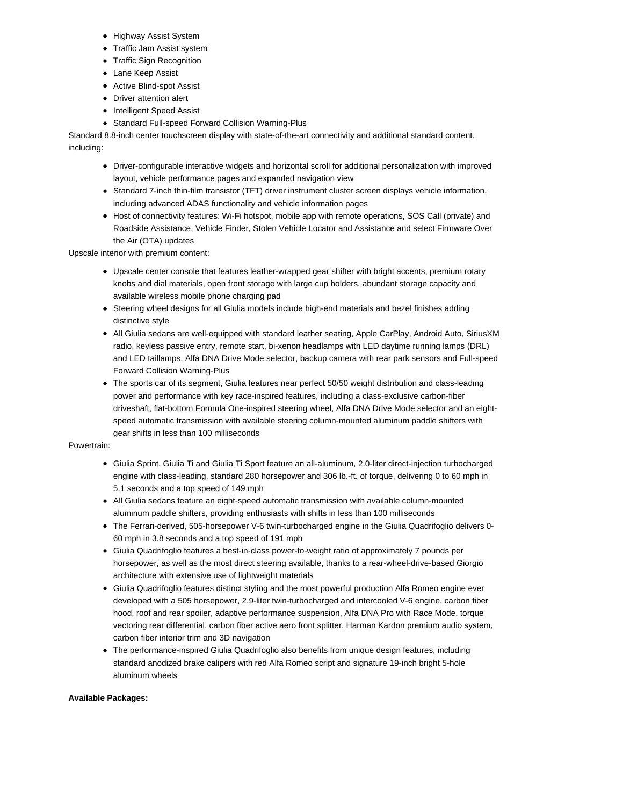- Highway Assist System
- **•** Traffic Jam Assist system
- Traffic Sign Recognition
- Lane Keep Assist
- Active Blind-spot Assist
- Driver attention alert
- Intelligent Speed Assist
- Standard Full-speed Forward Collision Warning-Plus

Standard 8.8-inch center touchscreen display with state-of-the-art connectivity and additional standard content, including:

- Driver-configurable interactive widgets and horizontal scroll for additional personalization with improved layout, vehicle performance pages and expanded navigation view
- Standard 7-inch thin-film transistor (TFT) driver instrument cluster screen displays vehicle information, including advanced ADAS functionality and vehicle information pages
- Host of connectivity features: Wi-Fi hotspot, mobile app with remote operations, SOS Call (private) and Roadside Assistance, Vehicle Finder, Stolen Vehicle Locator and Assistance and select Firmware Over the Air (OTA) updates

Upscale interior with premium content:

- Upscale center console that features leather-wrapped gear shifter with bright accents, premium rotary knobs and dial materials, open front storage with large cup holders, abundant storage capacity and available wireless mobile phone charging pad
- Steering wheel designs for all Giulia models include high-end materials and bezel finishes adding distinctive style
- All Giulia sedans are well-equipped with standard leather seating, Apple CarPlay, Android Auto, SiriusXM radio, keyless passive entry, remote start, bi-xenon headlamps with LED daytime running lamps (DRL) and LED taillamps, Alfa DNA Drive Mode selector, backup camera with rear park sensors and Full-speed Forward Collision Warning-Plus
- The sports car of its segment, Giulia features near perfect 50/50 weight distribution and class-leading power and performance with key race-inspired features, including a class-exclusive carbon-fiber driveshaft, flat-bottom Formula One-inspired steering wheel, Alfa DNA Drive Mode selector and an eightspeed automatic transmission with available steering column-mounted aluminum paddle shifters with gear shifts in less than 100 milliseconds

# Powertrain:

- Giulia Sprint, Giulia Ti and Giulia Ti Sport feature an all-aluminum, 2.0-liter direct-injection turbocharged engine with class-leading, standard 280 horsepower and 306 lb.-ft. of torque, delivering 0 to 60 mph in 5.1 seconds and a top speed of 149 mph
- All Giulia sedans feature an eight-speed automatic transmission with available column-mounted aluminum paddle shifters, providing enthusiasts with shifts in less than 100 milliseconds
- The Ferrari-derived, 505-horsepower V-6 twin-turbocharged engine in the Giulia Quadrifoglio delivers 0- 60 mph in 3.8 seconds and a top speed of 191 mph
- Giulia Quadrifoglio features a best-in-class power-to-weight ratio of approximately 7 pounds per horsepower, as well as the most direct steering available, thanks to a rear-wheel-drive-based Giorgio architecture with extensive use of lightweight materials
- Giulia Quadrifoglio features distinct styling and the most powerful production Alfa Romeo engine ever developed with a 505 horsepower, 2.9-liter twin-turbocharged and intercooled V-6 engine, carbon fiber hood, roof and rear spoiler, adaptive performance suspension, Alfa DNA Pro with Race Mode, torque vectoring rear differential, carbon fiber active aero front splitter, Harman Kardon premium audio system, carbon fiber interior trim and 3D navigation
- The performance-inspired Giulia Quadrifoglio also benefits from unique design features, including standard anodized brake calipers with red Alfa Romeo script and signature 19-inch bright 5-hole aluminum wheels

# **Available Packages:**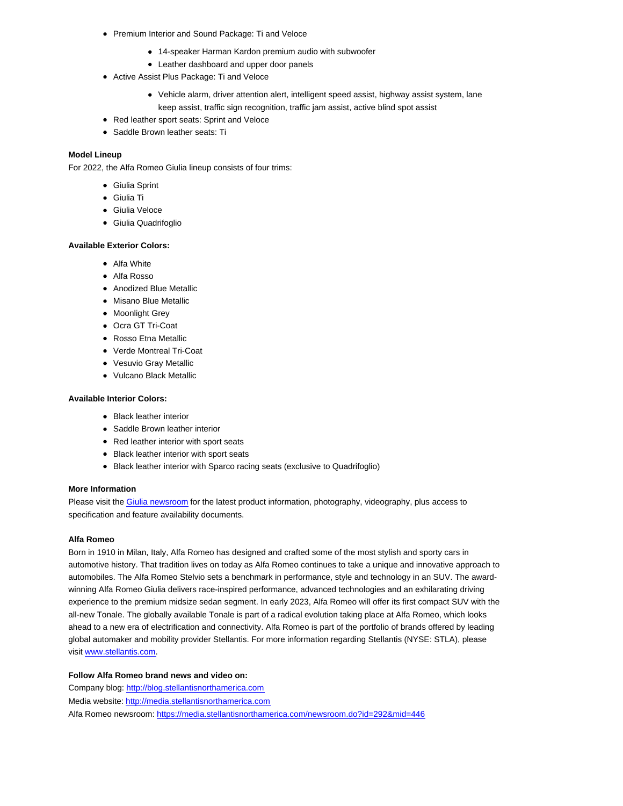- Premium Interior and Sound Package: Ti and Veloce
	- 14-speaker Harman Kardon premium audio with subwoofer
	- Leather dashboard and upper door panels
- Active Assist Plus Package: Ti and Veloce
	- Vehicle alarm, driver attention alert, intelligent speed assist, highway assist system, lane keep assist, traffic sign recognition, traffic jam assist, active blind spot assist
- Red leather sport seats: Sprint and Veloce
- Saddle Brown leather seats: Ti

#### **Model Lineup**

For 2022, the Alfa Romeo Giulia lineup consists of four trims:

- Giulia Sprint
- Giulia Ti
- Giulia Veloce
- Giulia Quadrifoglio

#### **Available Exterior Colors:**

- Alfa White
- Alfa Rosso
- Anodized Blue Metallic
- Misano Blue Metallic
- Moonlight Grey
- Ocra GT Tri-Coat
- Rosso Etna Metallic
- Verde Montreal Tri-Coat
- Vesuvio Gray Metallic
- Vulcano Black Metallic

### **Available Interior Colors:**

- Black leather interior
- Saddle Brown leather interior
- Red leather interior with sport seats
- Black leather interior with sport seats
- Black leather interior with Sparco racing seats (exclusive to Quadrifoglio)

#### **More Information**

Please visit the Giulia newsroom for the latest product information, photography, videography, plus access to specification and feature availability documents.

#### **Alfa Romeo**

Born in 1910 in Milan, Italy, Alfa Romeo has designed and crafted some of the most stylish and sporty cars in automotive history. That tradition lives on today as Alfa Romeo continues to take a unique and innovative approach to automobiles. The Alfa Romeo Stelvio sets a benchmark in performance, style and technology in an SUV. The awardwinning Alfa Romeo Giulia delivers race-inspired performance, advanced technologies and an exhilarating driving experience to the premium midsize sedan segment. In early 2023, Alfa Romeo will offer its first compact SUV with the all-new Tonale. The globally available Tonale is part of a radical evolution taking place at Alfa Romeo, which looks ahead to a new era of electrification and connectivity. Alfa Romeo is part of the portfolio of brands offered by leading global automaker and mobility provider Stellantis. For more information regarding Stellantis (NYSE: STLA), please visit www.stellantis.com.

#### **Follow Alfa Romeo brand news and video on:**

Company blog: http://blog.stellantisnorthamerica.com Media website: http://media.stellantisnorthamerica.com Alfa Romeo newsroom: https://media.stellantisnorthamerica.com/newsroom.do?id=292&mid=446